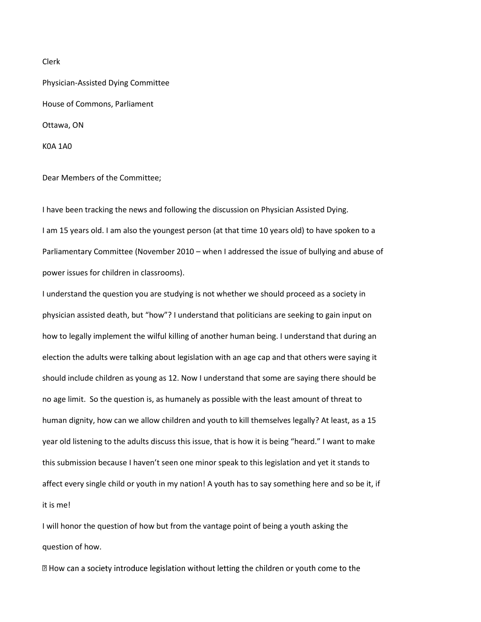## Clerk

Physician-Assisted Dying Committee House of Commons, Parliament Ottawa, ON K0A 1A0

## Dear Members of the Committee;

I have been tracking the news and following the discussion on Physician Assisted Dying. I am 15 years old. I am also the youngest person (at that time 10 years old) to have spoken to a Parliamentary Committee (November 2010 – when I addressed the issue of bullying and abuse of power issues for children in classrooms).

I understand the question you are studying is not whether we should proceed as a society in physician assisted death, but "how"? I understand that politicians are seeking to gain input on how to legally implement the wilful killing of another human being. I understand that during an election the adults were talking about legislation with an age cap and that others were saying it should include children as young as 12. Now I understand that some are saying there should be no age limit. So the question is, as humanely as possible with the least amount of threat to human dignity, how can we allow children and youth to kill themselves legally? At least, as a 15 year old listening to the adults discuss this issue, that is how it is being "heard." I want to make this submission because I haven't seen one minor speak to this legislation and yet it stands to affect every single child or youth in my nation! A youth has to say something here and so be it, if it is me!

I will honor the question of how but from the vantage point of being a youth asking the question of how.

⊠ How can a society introduce legislation without letting the children or youth come to the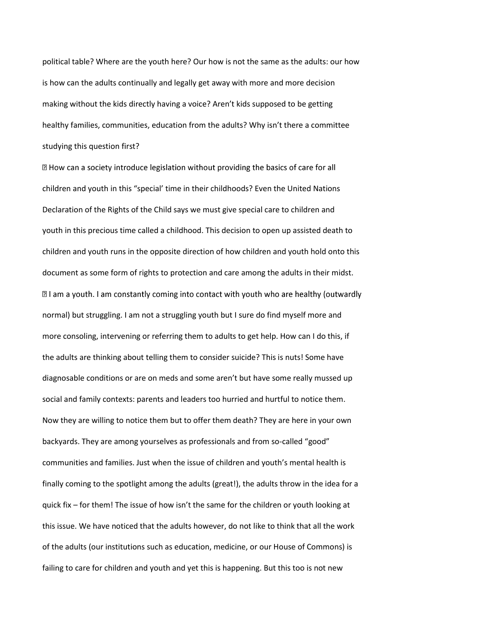political table? Where are the youth here? Our how is not the same as the adults: our how is how can the adults continually and legally get away with more and more decision making without the kids directly having a voice? Aren't kids supposed to be getting healthy families, communities, education from the adults? Why isn't there a committee studying this question first?

I How can a society introduce legislation without providing the basics of care for all children and youth in this "special' time in their childhoods? Even the United Nations Declaration of the Rights of the Child says we must give special care to children and youth in this precious time called a childhood. This decision to open up assisted death to children and youth runs in the opposite direction of how children and youth hold onto this document as some form of rights to protection and care among the adults in their midst. DI am a youth. I am constantly coming into contact with youth who are healthy (outwardly normal) but struggling. I am not a struggling youth but I sure do find myself more and more consoling, intervening or referring them to adults to get help. How can I do this, if the adults are thinking about telling them to consider suicide? This is nuts! Some have diagnosable conditions or are on meds and some aren't but have some really mussed up social and family contexts: parents and leaders too hurried and hurtful to notice them. Now they are willing to notice them but to offer them death? They are here in your own backyards. They are among yourselves as professionals and from so-called "good" communities and families. Just when the issue of children and youth's mental health is finally coming to the spotlight among the adults (great!), the adults throw in the idea for a quick fix – for them! The issue of how isn't the same for the children or youth looking at this issue. We have noticed that the adults however, do not like to think that all the work of the adults (our institutions such as education, medicine, or our House of Commons) is failing to care for children and youth and yet this is happening. But this too is not new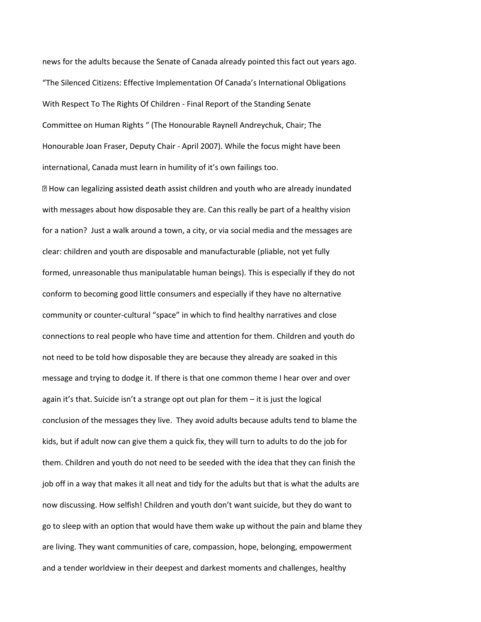news for the adults because the Senate of Canada already pointed this fact out years ago. "The Silenced Citizens: Effective Implementation Of Canada's International Obligations With Respect To The Rights Of Children - Final Report of the Standing Senate Committee on Human Rights " (The Honourable Raynell Andreychuk, Chair; The Honourable Joan Fraser, Deputy Chair - April 2007). While the focus might have been international, Canada must learn in humility of it's own failings too.

I How can legalizing assisted death assist children and youth who are already inundated with messages about how disposable they are. Can this really be part of a healthy vision for a nation? Just a walk around a town, a city, or via social media and the messages are clear: children and youth are disposable and manufacturable (pliable, not yet fully formed, unreasonable thus manipulatable human beings). This is especially if they do not conform to becoming good little consumers and especially if they have no alternative community or counter-cultural "space" in which to find healthy narratives and close connections to real people who have time and attention for them. Children and youth do not need to be told how disposable they are because they already are soaked in this message and trying to dodge it. If there is that one common theme I hear over and over again it's that. Suicide isn't a strange opt out plan for them  $-$  it is just the logical conclusion of the messages they live. They avoid adults because adults tend to blame the kids, but if adult now can give them a quick fix, they will turn to adults to do the job for them. Children and youth do not need to be seeded with the idea that they can finish the job off in a way that makes it all neat and tidy for the adults but that is what the adults are now discussing. How selfish! Children and youth don't want suicide, but they do want to go to sleep with an option that would have them wake up without the pain and blame they are living. They want communities of care, compassion, hope, belonging, empowerment and a tender worldview in their deepest and darkest moments and challenges, healthy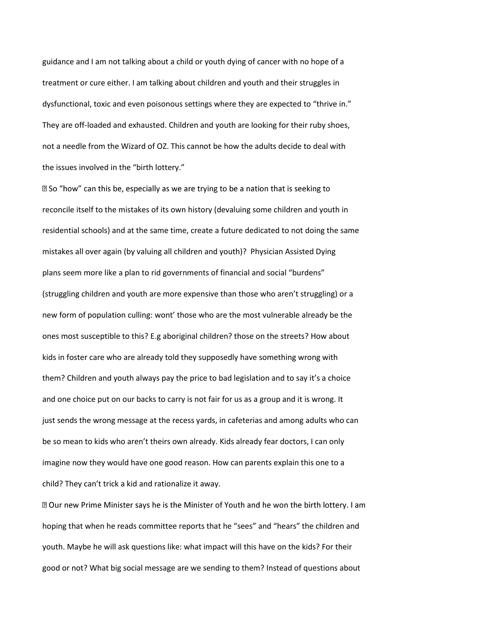guidance and I am not talking about a child or youth dying of cancer with no hope of a treatment or cure either. I am talking about children and youth and their struggles in dysfunctional, toxic and even poisonous settings where they are expected to "thrive in." They are off-loaded and exhausted. Children and youth are looking for their ruby shoes, not a needle from the Wizard of OZ. This cannot be how the adults decide to deal with the issues involved in the "birth lottery."

**Zeta** "how" can this be, especially as we are trying to be a nation that is seeking to reconcile itself to the mistakes of its own history (devaluing some children and youth in residential schools) and at the same time, create a future dedicated to not doing the same mistakes all over again (by valuing all children and youth)? Physician Assisted Dying plans seem more like a plan to rid governments of financial and social "burdens" (struggling children and youth are more expensive than those who aren't struggling) or a new form of population culling: wont' those who are the most vulnerable already be the ones most susceptible to this? E.g aboriginal children? those on the streets? How about kids in foster care who are already told they supposedly have something wrong with them? Children and youth always pay the price to bad legislation and to say it's a choice and one choice put on our backs to carry is not fair for us as a group and it is wrong. It just sends the wrong message at the recess yards, in cafeterias and among adults who can be so mean to kids who aren't theirs own already. Kids already fear doctors, I can only imagine now they would have one good reason. How can parents explain this one to a child? They can't trick a kid and rationalize it away.

a Our new Prime Minister says he is the Minister of Youth and he won the birth lottery. I am hoping that when he reads committee reports that he "sees" and "hears" the children and youth. Maybe he will ask questions like: what impact will this have on the kids? For their good or not? What big social message are we sending to them? Instead of questions about